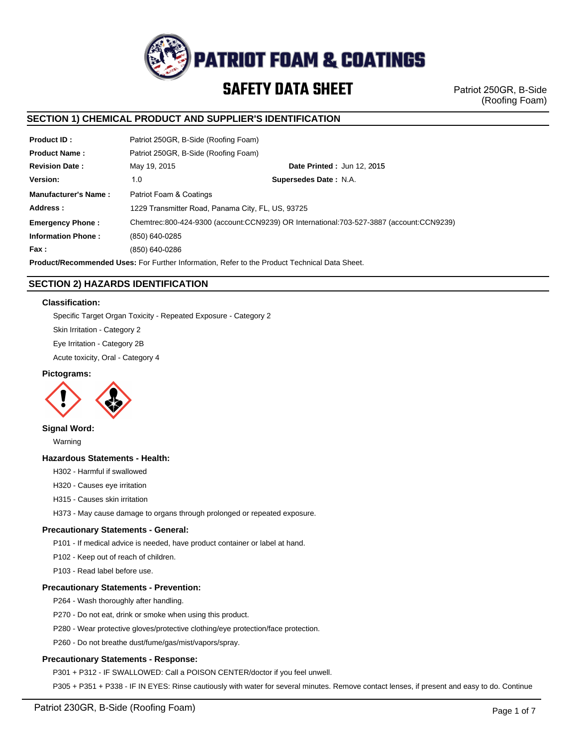

Patriot 250GR, B-Side (Roofing Foam)

# **SECTION 1) CHEMICAL PRODUCT AND SUPPLIER'S IDENTIFICATION**

| <b>Product ID:</b>          | Patriot 250GR, B-Side (Roofing Foam)              |                                                                                         |  |  |
|-----------------------------|---------------------------------------------------|-----------------------------------------------------------------------------------------|--|--|
| <b>Product Name:</b>        | Patriot 250GR, B-Side (Roofing Foam)              |                                                                                         |  |  |
| <b>Revision Date:</b>       | May 19, 2015                                      | <b>Date Printed: Jun 12, 2015</b>                                                       |  |  |
| Version:                    | 1.0                                               | <b>Supersedes Date: N.A.</b>                                                            |  |  |
| <b>Manufacturer's Name:</b> | Patriot Foam & Coatings                           |                                                                                         |  |  |
| Address:                    | 1229 Transmitter Road, Panama City, FL, US, 93725 |                                                                                         |  |  |
| <b>Emergency Phone:</b>     |                                                   | Chemtrec:800-424-9300 (account:CCN9239) OR International:703-527-3887 (account:CCN9239) |  |  |
| <b>Information Phone:</b>   | (850) 640-0285                                    |                                                                                         |  |  |
| Fax:                        | (850) 640-0286                                    |                                                                                         |  |  |

**Product/Recommended Uses:** For Further Information, Refer to the Product Technical Data Sheet.

# **SECTION 2) HAZARDS IDENTIFICATION**

## **Classification:**

Specific Target Organ Toxicity - Repeated Exposure - Category 2

Skin Irritation - Category 2

Eye Irritation - Category 2B

Acute toxicity, Oral - Category 4

# **Pictograms:**



# **Signal Word:**

Warning

## **Hazardous Statements - Health:**

H302 - Harmful if swallowed

H320 - Causes eye irritation

H315 - Causes skin irritation

H373 - May cause damage to organs through prolonged or repeated exposure.

## **Precautionary Statements - General:**

P101 - If medical advice is needed, have product container or label at hand.

P102 - Keep out of reach of children.

P103 - Read label before use.

## **Precautionary Statements - Prevention:**

P264 - Wash thoroughly after handling.

P270 - Do not eat, drink or smoke when using this product.

P280 - Wear protective gloves/protective clothing/eye protection/face protection.

P260 - Do not breathe dust/fume/gas/mist/vapors/spray.

# **Precautionary Statements - Response:**

P301 + P312 - IF SWALLOWED: Call a POISON CENTER/doctor if you feel unwell.

P305 + P351 + P338 - IF IN EYES: Rinse cautiously with water for several minutes. Remove contact lenses, if present and easy to do. Continue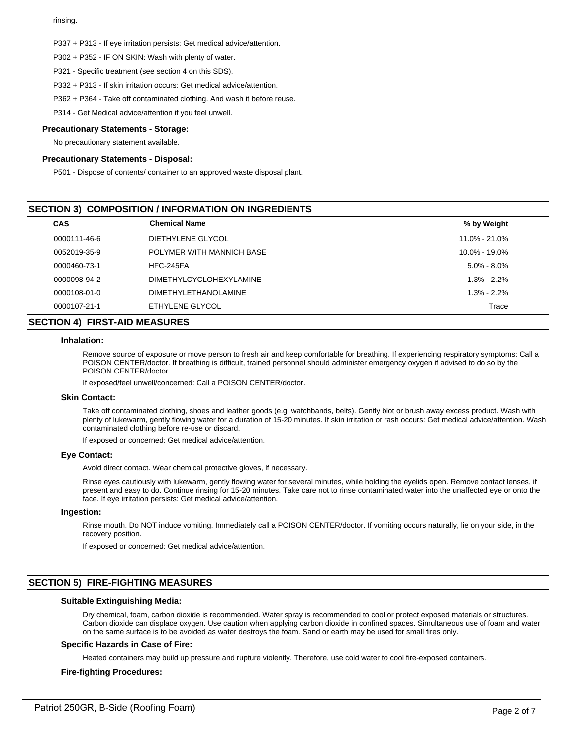rinsing.

P337 + P313 - If eye irritation persists: Get medical advice/attention.

P302 + P352 - IF ON SKIN: Wash with plenty of water.

P321 - Specific treatment (see section 4 on this SDS).

P332 + P313 - If skin irritation occurs: Get medical advice/attention.

P362 + P364 - Take off contaminated clothing. And wash it before reuse.

P314 - Get Medical advice/attention if you feel unwell.

# **Precautionary Statements - Storage:**

No precautionary statement available.

### **Precautionary Statements - Disposal:**

P501 - Dispose of contents/ container to an approved waste disposal plant.

## **SECTION 3) COMPOSITION / INFORMATION ON INGREDIENTS**

| . .          |                                |                   |
|--------------|--------------------------------|-------------------|
| <b>CAS</b>   | <b>Chemical Name</b>           | % by Weight       |
| 0000111-46-6 | DIETHYLENE GLYCOL              | $11.0\% - 21.0\%$ |
| 0052019-35-9 | POLYMER WITH MANNICH BASE      | 10.0% - 19.0%     |
| 0000460-73-1 | HFC-245FA                      | $5.0\% - 8.0\%$   |
| 0000098-94-2 | <b>DIMETHYLCYCLOHEXYLAMINE</b> | $1.3\% - 2.2\%$   |
| 0000108-01-0 | <b>DIMETHYLETHANOLAMINE</b>    | $1.3\% - 2.2\%$   |
| 0000107-21-1 | ETHYLENE GLYCOL                | Trace             |
|              |                                |                   |

# **SECTION 4) FIRST-AID MEASURES**

## **Inhalation:**

Remove source of exposure or move person to fresh air and keep comfortable for breathing. If experiencing respiratory symptoms: Call a POISON CENTER/doctor. If breathing is difficult, trained personnel should administer emergency oxygen if advised to do so by the POISON CENTER/doctor.

If exposed/feel unwell/concerned: Call a POISON CENTER/doctor.

### **Skin Contact:**

Take off contaminated clothing, shoes and leather goods (e.g. watchbands, belts). Gently blot or brush away excess product. Wash with plenty of lukewarm, gently flowing water for a duration of 15-20 minutes. If skin irritation or rash occurs: Get medical advice/attention. Wash contaminated clothing before re-use or discard.

If exposed or concerned: Get medical advice/attention.

#### **Eye Contact:**

Avoid direct contact. Wear chemical protective gloves, if necessary.

Rinse eyes cautiously with lukewarm, gently flowing water for several minutes, while holding the eyelids open. Remove contact lenses, if present and easy to do. Continue rinsing for 15-20 minutes. Take care not to rinse contaminated water into the unaffected eye or onto the face. If eye irritation persists: Get medical advice/attention.

### **Ingestion:**

Rinse mouth. Do NOT induce vomiting. Immediately call a POISON CENTER/doctor. If vomiting occurs naturally, lie on your side, in the recovery position.

If exposed or concerned: Get medical advice/attention.

## **SECTION 5) FIRE-FIGHTING MEASURES**

#### **Suitable Extinguishing Media:**

Dry chemical, foam, carbon dioxide is recommended. Water spray is recommended to cool or protect exposed materials or structures. Carbon dioxide can displace oxygen. Use caution when applying carbon dioxide in confined spaces. Simultaneous use of foam and water on the same surface is to be avoided as water destroys the foam. Sand or earth may be used for small fires only.

#### **Specific Hazards in Case of Fire:**

Heated containers may build up pressure and rupture violently. Therefore, use cold water to cool fire-exposed containers.

#### **Fire-fighting Procedures:**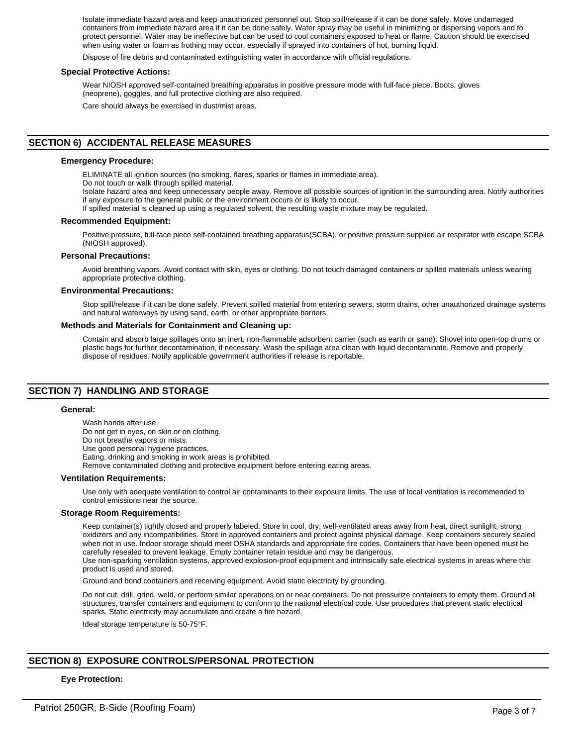Isolate immediate hazard area and keep unauthorized personnel out. Stop spill/release if it can be done safely. Move undamaged containers from immediate hazard area if it can be done safely. Water spray may be useful in minimizing or dispersing vapors and to protect personnel. Water may be ineffective but can be used to cool containers exposed to heat or flame. Caution should be exercised when using water or foam as frothing may occur, especially if sprayed into containers of hot, burning liquid.

Dispose of fire debris and contaminated extinguishing water in accordance with official regulations.

#### **Special Protective Actions:**

Wear NIOSH approved self-contained breathing apparatus in positive pressure mode with full-face piece. Boots, gloves (neoprene), goggles, and full protective clothing are also required.

Care should always be exercised in dust/mist areas.

# **SECTION 6) ACCIDENTAL RELEASE MEASURES**

### **Emergency Procedure:**

ELIMINATE all ignition sources (no smoking, flares, sparks or flames in immediate area).

Do not touch or walk through spilled material.

Isolate hazard area and keep unnecessary people away. Remove all possible sources of ignition in the surrounding area. Notify authorities if any exposure to the general public or the environment occurs or is likely to occur.

If spilled material is cleaned up using a regulated solvent, the resulting waste mixture may be regulated.

### **Recommended Equipment:**

Positive pressure, full-face piece self-contained breathing apparatus(SCBA), or positive pressure supplied air respirator with escape SCBA (NIOSH approved).

#### **Personal Precautions:**

Avoid breathing vapors. Avoid contact with skin, eyes or clothing. Do not touch damaged containers or spilled materials unless wearing appropriate protective clothing.

#### **Environmental Precautions:**

Stop spill/release if it can be done safely. Prevent spilled material from entering sewers, storm drains, other unauthorized drainage systems and natural waterways by using sand, earth, or other appropriate barriers.

## **Methods and Materials for Containment and Cleaning up:**

Contain and absorb large spillages onto an inert, non-flammable adsorbent carrier (such as earth or sand). Shovel into open-top drums or plastic bags for further decontamination, if necessary. Wash the spillage area clean with liquid decontaminate. Remove and properly dispose of residues. Notify applicable government authorities if release is reportable.

# **SECTION 7) HANDLING AND STORAGE**

#### **General:**

Wash hands after use. Do not get in eyes, on skin or on clothing. Do not breathe vapors or mists. Use good personal hygiene practices. Eating, drinking and smoking in work areas is prohibited. Remove contaminated clothing and protective equipment before entering eating areas.

#### **Ventilation Requirements:**

Use only with adequate ventilation to control air contaminants to their exposure limits. The use of local ventilation is recommended to control emissions near the source.

### **Storage Room Requirements:**

Keep container(s) tightly closed and properly labeled. Store in cool, dry, well-ventilated areas away from heat, direct sunlight, strong oxidizers and any incompatibilities. Store in approved containers and protect against physical damage. Keep containers securely sealed when not in use. Indoor storage should meet OSHA standards and appropriate fire codes. Containers that have been opened must be carefully resealed to prevent leakage. Empty container retain residue and may be dangerous. Use non-sparking ventilation systems, approved explosion-proof equipment and intrinsically safe electrical systems in areas where this

product is used and stored.

Ground and bond containers and receiving equipment. Avoid static electricity by grounding.

Do not cut, drill, grind, weld, or perform similar operations on or near containers. Do not pressurize containers to empty them. Ground all structures, transfer containers and equipment to conform to the national electrical code. Use procedures that prevent static electrical sparks. Static electricity may accumulate and create a fire hazard.

Ideal storage temperature is 50-75°F.

# **SECTION 8) EXPOSURE CONTROLS/PERSONAL PROTECTION**

# **Eye Protection:**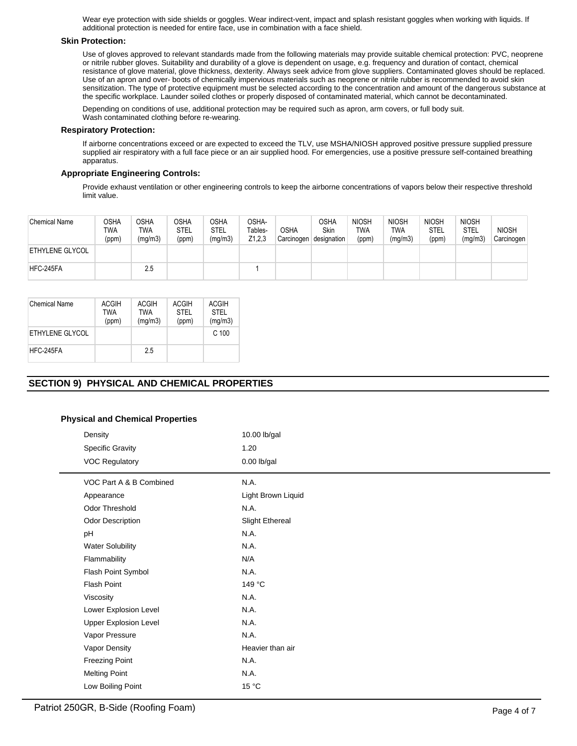Wear eye protection with side shields or goggles. Wear indirect-vent, impact and splash resistant goggles when working with liquids. If additional protection is needed for entire face, use in combination with a face shield.

### **Skin Protection:**

Use of gloves approved to relevant standards made from the following materials may provide suitable chemical protection: PVC, neoprene or nitrile rubber gloves. Suitability and durability of a glove is dependent on usage, e.g. frequency and duration of contact, chemical resistance of glove material, glove thickness, dexterity. Always seek advice from glove suppliers. Contaminated gloves should be replaced. Use of an apron and over- boots of chemically impervious materials such as neoprene or nitrile rubber is recommended to avoid skin sensitization. The type of protective equipment must be selected according to the concentration and amount of the dangerous substance at the specific workplace. Launder soiled clothes or properly disposed of contaminated material, which cannot be decontaminated.

Depending on conditions of use, additional protection may be required such as apron, arm covers, or full body suit. Wash contaminated clothing before re-wearing.

### **Respiratory Protection:**

If airborne concentrations exceed or are expected to exceed the TLV, use MSHA/NIOSH approved positive pressure supplied pressure supplied air respiratory with a full face piece or an air supplied hood. For emergencies, use a positive pressure self-contained breathing apparatus.

# **Appropriate Engineering Controls:**

Provide exhaust ventilation or other engineering controls to keep the airborne concentrations of vapors below their respective threshold limit value.

| Chemical Name   | OSHA<br>TWA<br>(ppm) | OSHA<br>TWA<br>(mg/m3) | <b>OSHA</b><br><b>STEL</b><br>(ppm) | OSHA<br>STEL<br>(mg/m3) | OSHA-<br>Tables-<br>Z1,2,3 | <b>OSHA</b><br>Carcinogen | OSHA<br>Skin<br>designation | <b>NIOSH</b><br>TWA<br>(ppm) | <b>NIOSH</b><br>TWA<br>(mg/m3) | <b>NIOSH</b><br>STEL<br>(ppm) | <b>NIOSH</b><br>STEL<br>(mg/m3) | <b>NIOSH</b><br>Carcinogen |
|-----------------|----------------------|------------------------|-------------------------------------|-------------------------|----------------------------|---------------------------|-----------------------------|------------------------------|--------------------------------|-------------------------------|---------------------------------|----------------------------|
| ETHYLENE GLYCOL |                      |                        |                                     |                         |                            |                           |                             |                              |                                |                               |                                 |                            |
| HFC-245FA       |                      | 2.5                    |                                     |                         |                            |                           |                             |                              |                                |                               |                                 |                            |

| Chemical Name   | ACGIH<br>TWA<br>(ppm) | ACGIH<br><b>TWA</b><br>(mg/m3) | ACGIH<br><b>STEL</b><br>(ppm) | ACGIH<br><b>STEL</b><br>(mg/m3) |
|-----------------|-----------------------|--------------------------------|-------------------------------|---------------------------------|
| ETHYLENE GLYCOL |                       |                                |                               | C <sub>100</sub>                |
| HFC-245FA       |                       | 2.5                            |                               |                                 |

# **SECTION 9) PHYSICAL AND CHEMICAL PROPERTIES**

## **Physical and Chemical Properties**

| Density                      | 10.00 lb/gal           |
|------------------------------|------------------------|
| <b>Specific Gravity</b>      | 1.20                   |
| <b>VOC Regulatory</b>        | $0.00$ lb/gal          |
| VOC Part A & B Combined      | N.A.                   |
| Appearance                   | Light Brown Liquid     |
| Odor Threshold               | N.A.                   |
| <b>Odor Description</b>      | <b>Slight Ethereal</b> |
| pH                           | N.A.                   |
| <b>Water Solubility</b>      | N.A.                   |
| Flammability                 | N/A                    |
| Flash Point Symbol           | N.A.                   |
| Flash Point                  | 149 °C                 |
| Viscosity                    | N.A.                   |
| Lower Explosion Level        | N.A.                   |
| <b>Upper Explosion Level</b> | N.A.                   |
| Vapor Pressure               | N.A.                   |
| Vapor Density                | Heavier than air       |
| <b>Freezing Point</b>        | N.A.                   |
| <b>Melting Point</b>         | N.A.                   |
| Low Boiling Point            | 15 °C                  |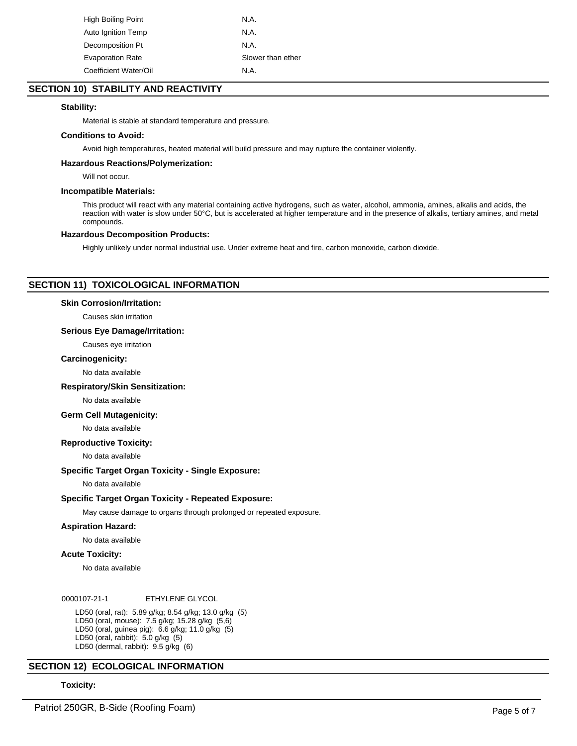| N.A.              |
|-------------------|
| N.A.              |
| N.A.              |
| Slower than ether |
| N.A.              |
|                   |

# **SECTION 10) STABILITY AND REACTIVITY**

# **Stability:**

Material is stable at standard temperature and pressure.

### **Conditions to Avoid:**

Avoid high temperatures, heated material will build pressure and may rupture the container violently.

## **Hazardous Reactions/Polymerization:**

Will not occur.

## **Incompatible Materials:**

This product will react with any material containing active hydrogens, such as water, alcohol, ammonia, amines, alkalis and acids, the reaction with water is slow under 50°C, but is accelerated at higher temperature and in the presence of alkalis, tertiary amines, and metal compounds.

### **Hazardous Decomposition Products:**

Highly unlikely under normal industrial use. Under extreme heat and fire, carbon monoxide, carbon dioxide.

# **SECTION 11) TOXICOLOGICAL INFORMATION**

### **Skin Corrosion/Irritation:**

Causes skin irritation

## **Serious Eye Damage/Irritation:**

Causes eye irritation

## **Carcinogenicity:**

No data available

### **Respiratory/Skin Sensitization:**

No data available

## **Germ Cell Mutagenicity:**

No data available

## **Reproductive Toxicity:**

No data available

## **Specific Target Organ Toxicity - Single Exposure:**

No data available

## **Specific Target Organ Toxicity - Repeated Exposure:**

May cause damage to organs through prolonged or repeated exposure.

**Aspiration Hazard:**

No data available

## **Acute Toxicity:**

No data available

### 0000107-21-1 ETHYLENE GLYCOL

LD50 (oral, rat): 5.89 g/kg; 8.54 g/kg; 13.0 g/kg (5) LD50 (oral, mouse): 7.5 g/kg; 15.28 g/kg (5,6) LD50 (oral, guinea pig): 6.6 g/kg; 11.0 g/kg (5) LD50 (oral, rabbit): 5.0 g/kg (5) LD50 (dermal, rabbit): 9.5 g/kg (6)

# **SECTION 12) ECOLOGICAL INFORMATION**

# **Toxicity:**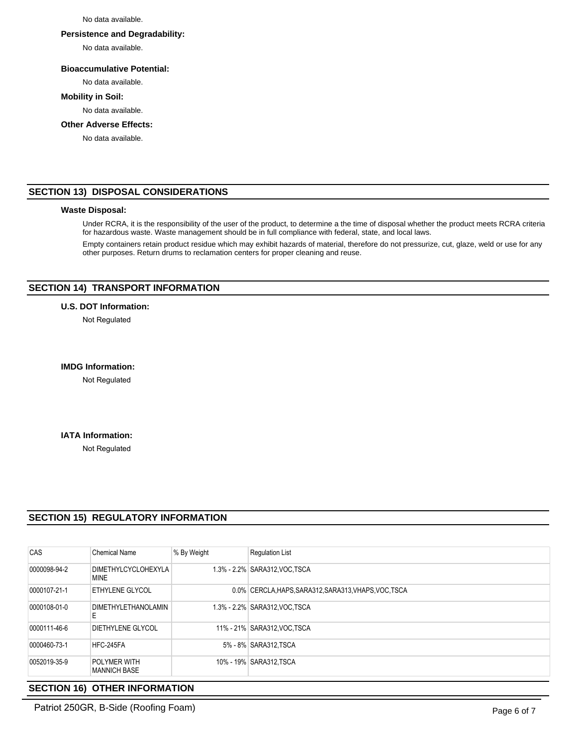No data available.

### **Persistence and Degradability:**

No data available.

# **Bioaccumulative Potential:**

No data available.

#### **Mobility in Soil:**

No data available.

# **Other Adverse Effects:**

No data available.

# **SECTION 13) DISPOSAL CONSIDERATIONS**

#### **Waste Disposal:**

Under RCRA, it is the responsibility of the user of the product, to determine a the time of disposal whether the product meets RCRA criteria for hazardous waste. Waste management should be in full compliance with federal, state, and local laws.

Empty containers retain product residue which may exhibit hazards of material, therefore do not pressurize, cut, glaze, weld or use for any other purposes. Return drums to reclamation centers for proper cleaning and reuse.

# **SECTION 14) TRANSPORT INFORMATION**

# **U.S. DOT Information:**

Not Regulated

## **IMDG Information:**

Not Regulated

# **IATA Information:**

Not Regulated

# **SECTION 15) REGULATORY INFORMATION**

| <b>CAS</b>   | <b>Chemical Name</b>                      | % By Weight | <b>Requlation List</b>                                |
|--------------|-------------------------------------------|-------------|-------------------------------------------------------|
| 0000098-94-2 | <b>DIMETHYLCYCLOHEXYLA</b><br><b>MINE</b> |             | 1.3% - 2.2% SARA312, VOC TSCA                         |
| 0000107-21-1 | ETHYLENE GLYCOL                           |             | 0.0% CERCLA, HAPS, SARA312, SARA313, VHAPS, VOC, TSCA |
| 0000108-01-0 | <b>DIMETHYLETHANOLAMIN</b><br>Ε           |             | 1.3% - 2.2% SARA312, VOC TSCA                         |
| 0000111-46-6 | DIETHYLENE GLYCOL                         |             | 11% - 21% SARA312, VOC TSCA                           |
| 0000460-73-1 | HFC-245FA                                 |             | 5% - 8% SARA312, TSCA                                 |
| 0052019-35-9 | POLYMER WITH<br><b>MANNICH BASE</b>       |             | 10% - 19% SARA312, TSCA                               |

# **SECTION 16) OTHER INFORMATION**

Patriot 250GR, B-Side (Roofing Foam) example 250GR, B-Side (Roofing Foam)